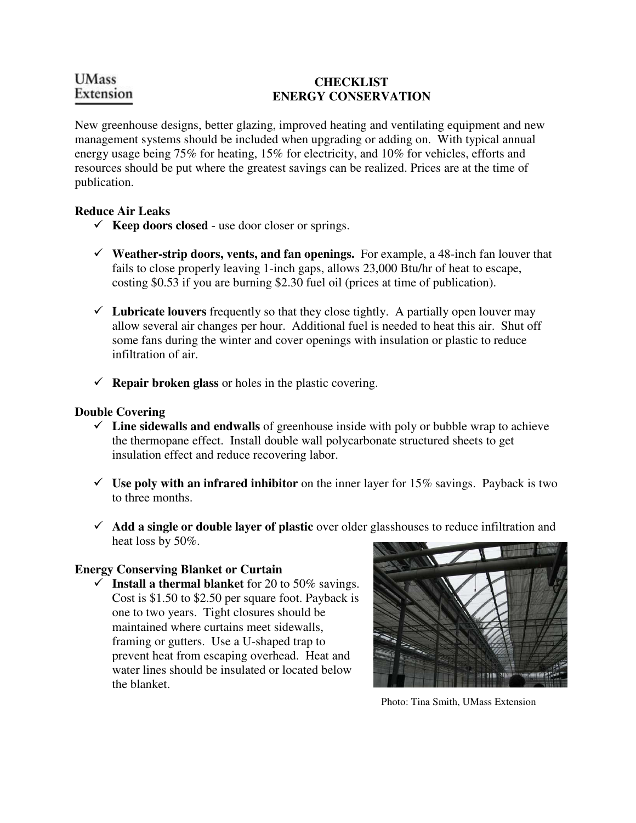# **UMass** Extension

### **CHECKLIST ENERGY CONSERVATION**

New greenhouse designs, better glazing, improved heating and ventilating equipment and new management systems should be included when upgrading or adding on. With typical annual energy usage being 75% for heating, 15% for electricity, and 10% for vehicles, efforts and resources should be put where the greatest savings can be realized. Prices are at the time of publication.

### **Reduce Air Leaks**

- $\checkmark$  **Keep doors closed** use door closer or springs.
- $\checkmark$  Weather-strip doors, vents, and fan openings. For example, a 48-inch fan louver that fails to close properly leaving 1-inch gaps, allows 23,000 Btu/hr of heat to escape, costing \$0.53 if you are burning \$2.30 fuel oil (prices at time of publication).
- $\checkmark$  Lubricate louvers frequently so that they close tightly. A partially open louver may allow several air changes per hour. Additional fuel is needed to heat this air. Shut off some fans during the winter and cover openings with insulation or plastic to reduce infiltration of air.
- $\checkmark$  **Repair broken glass** or holes in the plastic covering.

### **Double Covering**

- **Line sidewalls and endwalls** of greenhouse inside with poly or bubble wrap to achieve the thermopane effect. Install double wall polycarbonate structured sheets to get insulation effect and reduce recovering labor.
- $\checkmark$  Use poly with an infrared inhibitor on the inner layer for 15% savings. Payback is two to three months.
- **Add a single or double layer of plastic** over older glasshouses to reduce infiltration and heat loss by 50%.

## **Energy Conserving Blanket or Curtain**

 $\checkmark$  Install a thermal blanket for 20 to 50% savings. Cost is \$1.50 to \$2.50 per square foot. Payback is one to two years. Tight closures should be maintained where curtains meet sidewalls, framing or gutters. Use a U-shaped trap to prevent heat from escaping overhead. Heat and water lines should be insulated or located below the blanket.



Photo: Tina Smith, UMass Extension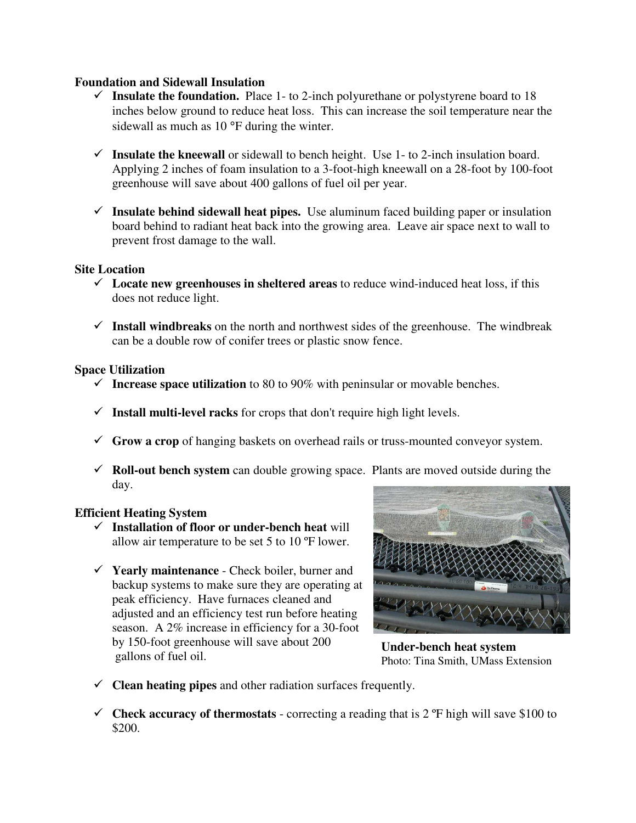#### **Foundation and Sidewall Insulation**

- $\checkmark$  Insulate the foundation. Place 1- to 2-inch polyurethane or polystyrene board to 18 inches below ground to reduce heat loss. This can increase the soil temperature near the sidewall as much as 10 °F during the winter.
- $\checkmark$  Insulate the kneewall or sidewall to bench height. Use 1- to 2-inch insulation board. Applying 2 inches of foam insulation to a 3-foot-high kneewall on a 28-foot by 100-foot greenhouse will save about 400 gallons of fuel oil per year.
- $\checkmark$  Insulate behind sidewall heat pipes. Use aluminum faced building paper or insulation board behind to radiant heat back into the growing area. Leave air space next to wall to prevent frost damage to the wall.

#### **Site Location**

- $\checkmark$  Locate new greenhouses in sheltered areas to reduce wind-induced heat loss, if this does not reduce light.
- $\checkmark$  Install windbreaks on the north and northwest sides of the greenhouse. The windbreak can be a double row of conifer trees or plastic snow fence.

#### **Space Utilization**

- Increase space utilization to 80 to  $90\%$  with peninsular or movable benches.
- $\checkmark$  Install multi-level racks for crops that don't require high light levels.
- **Grow a crop** of hanging baskets on overhead rails or truss-mounted conveyor system.
- $\checkmark$  **Roll-out bench system** can double growing space. Plants are moved outside during the day.

### **Efficient Heating System**

- **Installation of floor or under-bench heat** will allow air temperature to be set 5 to 10 ºF lower.
- **Yearly maintenance**  Check boiler, burner and backup systems to make sure they are operating at peak efficiency. Have furnaces cleaned and adjusted and an efficiency test run before heating season. A 2% increase in efficiency for a 30-foot by 150-foot greenhouse will save about 200 gallons of fuel oil.



**Under-bench heat system**  Photo: Tina Smith, UMass Extension

- $\checkmark$  **Clean heating pipes** and other radiation surfaces frequently.
- $\checkmark$  Check accuracy of thermostats correcting a reading that is 2  $\check{P}$  high will save \$100 to \$200.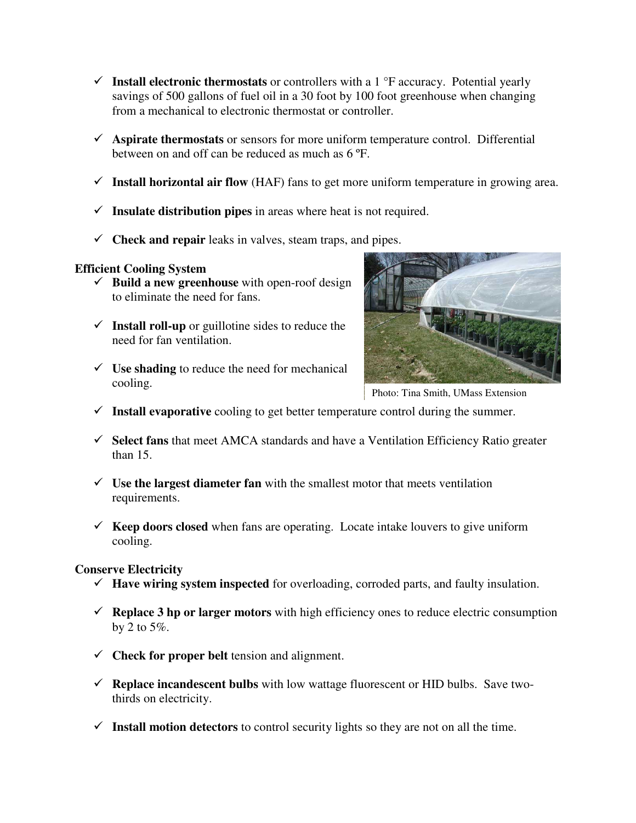- **Install electronic thermostats** or controllers with a 1 °F accuracy. Potential yearly savings of 500 gallons of fuel oil in a 30 foot by 100 foot greenhouse when changing from a mechanical to electronic thermostat or controller.
- **Aspirate thermostats** or sensors for more uniform temperature control. Differential between on and off can be reduced as much as 6 ºF.
- $\checkmark$  Install horizontal air flow (HAF) fans to get more uniform temperature in growing area.
- $\checkmark$  Insulate distribution pipes in areas where heat is not required.
- $\checkmark$  **Check and repair** leaks in valves, steam traps, and pipes.

## **Efficient Cooling System**

- $\checkmark$  **Build a new greenhouse** with open-roof design to eliminate the need for fans.
- $\checkmark$  Install roll-up or guillotine sides to reduce the need for fan ventilation.
- $\checkmark$  Use shading to reduce the need for mechanical cooling.



Photo: Tina Smith, UMass Extension

- $\checkmark$  Install evaporative cooling to get better temperature control during the summer.
- **Select fans** that meet AMCA standards and have a Ventilation Efficiency Ratio greater than 15.
- $\checkmark$  Use the largest diameter fan with the smallest motor that meets ventilation requirements.
- $\checkmark$  **Keep doors closed** when fans are operating. Locate intake louvers to give uniform cooling.

### **Conserve Electricity**

- **Have wiring system inspected** for overloading, corroded parts, and faulty insulation.
- $\checkmark$  **Replace 3 hp or larger motors** with high efficiency ones to reduce electric consumption by 2 to  $5\%$ .
- **Check for proper belt** tension and alignment.
- **Replace incandescent bulbs** with low wattage fluorescent or HID bulbs. Save twothirds on electricity.
- **Install motion detectors** to control security lights so they are not on all the time.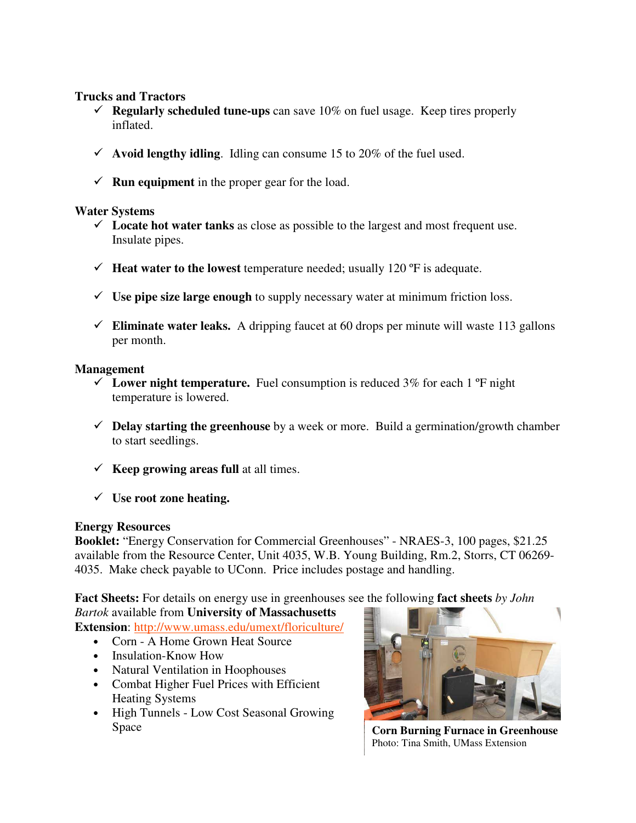### **Trucks and Tractors**

- **Regularly scheduled tune-ups** can save 10% on fuel usage. Keep tires properly inflated.
- $\checkmark$  Avoid lengthy idling. Idling can consume 15 to 20% of the fuel used.
- $\checkmark$  **Run equipment** in the proper gear for the load.

### **Water Systems**

- $\checkmark$  Locate hot water tanks as close as possible to the largest and most frequent use. Insulate pipes.
- **Heat water to the lowest** temperature needed; usually 120  $^{\circ}$ F is adequate.
- $\checkmark$  Use pipe size large enough to supply necessary water at minimum friction loss.
- $\checkmark$  Eliminate water leaks. A dripping faucet at 60 drops per minute will waste 113 gallons per month.

### **Management**

- $\checkmark$  Lower night temperature. Fuel consumption is reduced 3% for each 1  $\check{P}$  night temperature is lowered.
- **Delay starting the greenhouse** by a week or more. Build a germination/growth chamber to start seedlings.
- $\checkmark$  **Keep growing areas full** at all times.
- **Use root zone heating.**

## **Energy Resources**

**Booklet:** "Energy Conservation for Commercial Greenhouses" - NRAES-3, 100 pages, \$21.25 available from the Resource Center, Unit 4035, W.B. Young Building, Rm.2, Storrs, CT 06269- 4035. Make check payable to UConn. Price includes postage and handling.

**Fact Sheets:** For details on energy use in greenhouses see the following **fact sheets** *by John Bartok* available from **University of Massachusetts** 

**Extension**: http://www.umass.edu/umext/floriculture/

- Corn A Home Grown Heat Source
- Insulation-Know How
- Natural Ventilation in Hoophouses
- Combat Higher Fuel Prices with Efficient Heating Systems
- High Tunnels Low Cost Seasonal Growing Space **Corn Burning Furnace in Greenhouse**



Photo: Tina Smith, UMass Extension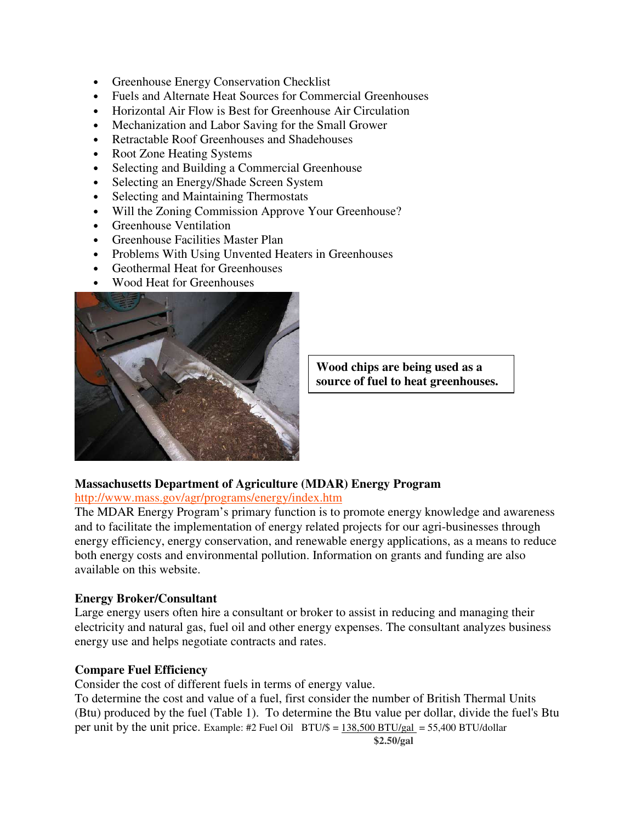- Greenhouse Energy Conservation Checklist
- Fuels and Alternate Heat Sources for Commercial Greenhouses
- Horizontal Air Flow is Best for Greenhouse Air Circulation
- Mechanization and Labor Saving for the Small Grower
- Retractable Roof Greenhouses and Shadehouses
- Root Zone Heating Systems
- Selecting and Building a Commercial Greenhouse
- Selecting an Energy/Shade Screen System
- Selecting and Maintaining Thermostats
- Will the Zoning Commission Approve Your Greenhouse?
- Greenhouse Ventilation
- Greenhouse Facilities Master Plan
- Problems With Using Unvented Heaters in Greenhouses
- Geothermal Heat for Greenhouses
- Wood Heat for Greenhouses



**Wood chips are being used as a source of fuel to heat greenhouses.** 

### **Massachusetts Department of Agriculture (MDAR) Energy Program**

#### http://www.mass.gov/agr/programs/energy/index.htm

The MDAR Energy Program's primary function is to promote energy knowledge and awareness and to facilitate the implementation of energy related projects for our agri-businesses through energy efficiency, energy conservation, and renewable energy applications, as a means to reduce both energy costs and environmental pollution. Information on grants and funding are also available on this website.

#### **Energy Broker/Consultant**

Large energy users often hire a consultant or broker to assist in reducing and managing their electricity and natural gas, fuel oil and other energy expenses. The consultant analyzes business energy use and helps negotiate contracts and rates.

### **Compare Fuel Efficiency**

Consider the cost of different fuels in terms of energy value.

To determine the cost and value of a fuel, first consider the number of British Thermal Units (Btu) produced by the fuel (Table 1). To determine the Btu value per dollar, divide the fuel's Btu per unit by the unit price. Example: #2 Fuel Oil  $BTU/\$ = 138,500 BTU/gal = 55,400 BTU/dollar$